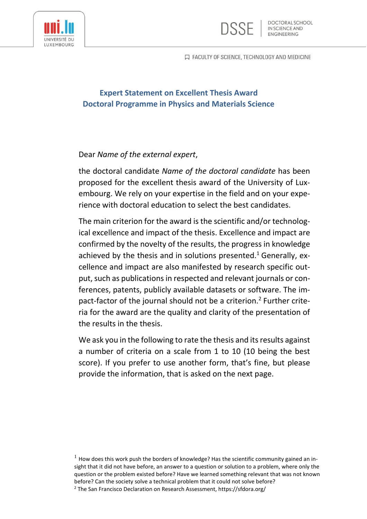口 FACULTY OF SCIENCE, TECHNOLOGY AND MEDICINE

**DOCTORAL SCHOOL** IN SCIENCE AND *ENGINEERING* 





## Dear *Name of the external expert*,

the doctoral candidate *Name of the doctoral candidate* has been proposed for the excellent thesis award of the University of Luxembourg. We rely on your expertise in the field and on your experience with doctoral education to select the best candidates.

The main criterion for the award is the scientific and/or technological excellence and impact of the thesis. Excellence and impact are confirmed by the novelty of the results, the progress in knowledge achieved by the thesis and in solutions presented.<sup>1</sup> Generally, excellence and impact are also manifested by research specific output, such as publications in respected and relevant journals or conferences, patents, publicly available datasets or software. The impact-factor of the journal should not be a criterion.<sup>2</sup> Further criteria for the award are the quality and clarity of the presentation of the results in the thesis.

We ask you in the following to rate the thesis and its results against a number of criteria on a scale from 1 to 10 (10 being the best score). If you prefer to use another form, that's fine, but please provide the information, that is asked on the next page.

 $1$  How does this work push the borders of knowledge? Has the scientific community gained an insight that it did not have before, an answer to a question or solution to a problem, where only the question or the problem existed before? Have we learned something relevant that was not known before? Can the society solve a technical problem that it could not solve before? <sup>2</sup> The San Francisco Declaration on Research Assessment, https://sfdora.org/